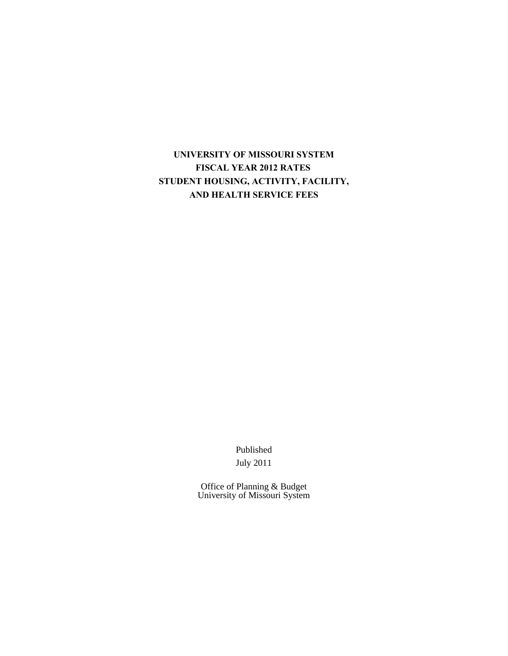# **UNIVERSITY OF MISSOURI SYSTEM FISCAL YEAR 2012 RATES STUDENT HOUSING, ACTIVITY, FACILITY, AND HEALTH SERVICE FEES**

Published July 2011

Office of Planning & Budget University of Missouri System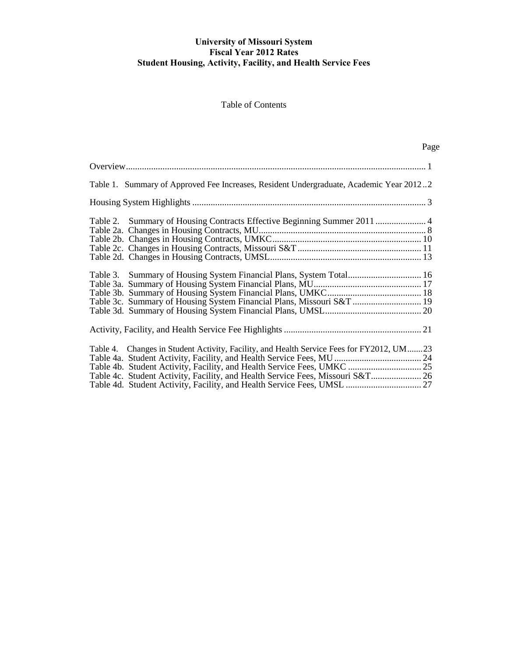# **University of Missouri System Fiscal Year 2012 Rates Student Housing, Activity, Facility, and Health Service Fees**

## Table of Contents

Page

| Table 1. Summary of Approved Fee Increases, Resident Undergraduate, Academic Year 20122                                                                                                                                                               |  |
|-------------------------------------------------------------------------------------------------------------------------------------------------------------------------------------------------------------------------------------------------------|--|
|                                                                                                                                                                                                                                                       |  |
| Table 2. Summary of Housing Contracts Effective Beginning Summer 2011  4                                                                                                                                                                              |  |
| Table 3. Summary of Housing System Financial Plans, System Total 16<br>Table 3c. Summary of Housing System Financial Plans, Missouri S&T  19                                                                                                          |  |
|                                                                                                                                                                                                                                                       |  |
| Table 4. Changes in Student Activity, Facility, and Health Service Fees for FY2012, UM23<br>Table 4b. Student Activity, Facility, and Health Service Fees, UMKC  25<br>Table 4c. Student Activity, Facility, and Health Service Fees, Missouri S&T 26 |  |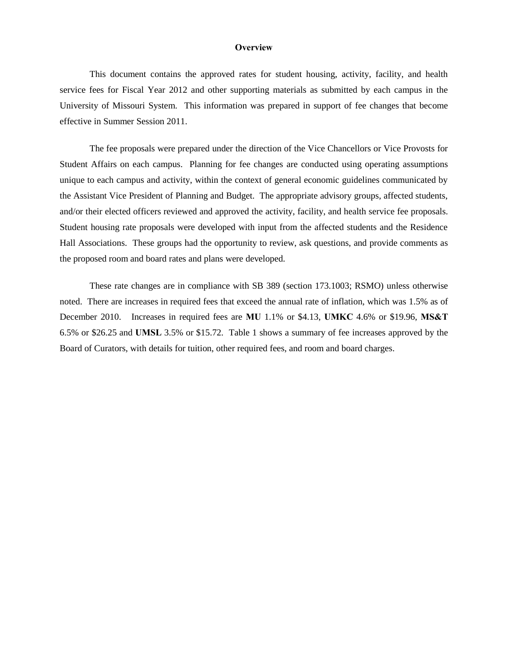#### **Overview**

This document contains the approved rates for student housing, activity, facility, and health service fees for Fiscal Year 2012 and other supporting materials as submitted by each campus in the University of Missouri System. This information was prepared in support of fee changes that become effective in Summer Session 2011.

The fee proposals were prepared under the direction of the Vice Chancellors or Vice Provosts for Student Affairs on each campus. Planning for fee changes are conducted using operating assumptions unique to each campus and activity, within the context of general economic guidelines communicated by the Assistant Vice President of Planning and Budget. The appropriate advisory groups, affected students, and/or their elected officers reviewed and approved the activity, facility, and health service fee proposals. Student housing rate proposals were developed with input from the affected students and the Residence Hall Associations. These groups had the opportunity to review, ask questions, and provide comments as the proposed room and board rates and plans were developed.

These rate changes are in compliance with SB 389 (section 173.1003; RSMO) unless otherwise noted. There are increases in required fees that exceed the annual rate of inflation, which was 1.5% as of December 2010. Increases in required fees are **MU** 1.1% or \$4.13, **UMKC** 4.6% or \$19.96, **MS&T** 6.5% or \$26.25 and **UMSL** 3.5% or \$15.72. Table 1 shows a summary of fee increases approved by the Board of Curators, with details for tuition, other required fees, and room and board charges.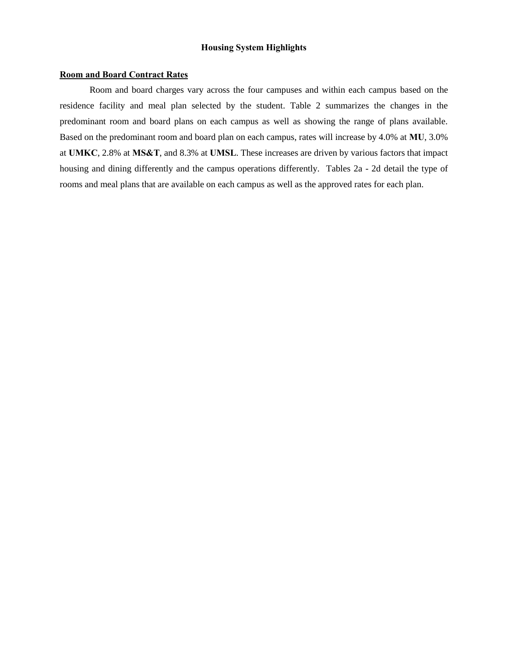## **Housing System Highlights**

### **Room and Board Contract Rates**

 Room and board charges vary across the four campuses and within each campus based on the residence facility and meal plan selected by the student. Table 2 summarizes the changes in the predominant room and board plans on each campus as well as showing the range of plans available. Based on the predominant room and board plan on each campus, rates will increase by 4.0% at **MU**, 3.0% at **UMKC**, 2.8% at **MS&T**, and 8.3% at **UMSL**. These increases are driven by various factors that impact housing and dining differently and the campus operations differently. Tables 2a - 2d detail the type of rooms and meal plans that are available on each campus as well as the approved rates for each plan.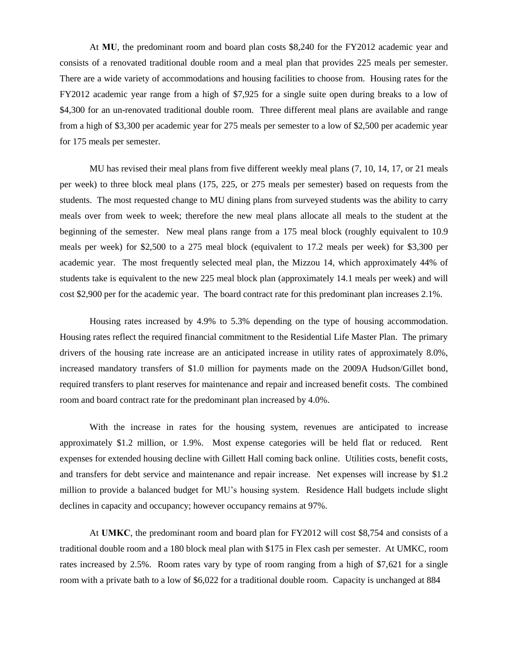At **MU**, the predominant room and board plan costs \$8,240 for the FY2012 academic year and consists of a renovated traditional double room and a meal plan that provides 225 meals per semester. There are a wide variety of accommodations and housing facilities to choose from. Housing rates for the FY2012 academic year range from a high of \$7,925 for a single suite open during breaks to a low of \$4,300 for an un-renovated traditional double room. Three different meal plans are available and range from a high of \$3,300 per academic year for 275 meals per semester to a low of \$2,500 per academic year for 175 meals per semester.

MU has revised their meal plans from five different weekly meal plans (7, 10, 14, 17, or 21 meals per week) to three block meal plans (175, 225, or 275 meals per semester) based on requests from the students. The most requested change to MU dining plans from surveyed students was the ability to carry meals over from week to week; therefore the new meal plans allocate all meals to the student at the beginning of the semester. New meal plans range from a 175 meal block (roughly equivalent to 10.9 meals per week) for \$2,500 to a 275 meal block (equivalent to 17.2 meals per week) for \$3,300 per academic year. The most frequently selected meal plan, the Mizzou 14, which approximately 44% of students take is equivalent to the new 225 meal block plan (approximately 14.1 meals per week) and will cost \$2,900 per for the academic year. The board contract rate for this predominant plan increases 2.1%.

 Housing rates increased by 4.9% to 5.3% depending on the type of housing accommodation. Housing rates reflect the required financial commitment to the Residential Life Master Plan. The primary drivers of the housing rate increase are an anticipated increase in utility rates of approximately 8.0%, increased mandatory transfers of \$1.0 million for payments made on the 2009A Hudson/Gillet bond, required transfers to plant reserves for maintenance and repair and increased benefit costs. The combined room and board contract rate for the predominant plan increased by 4.0%.

 With the increase in rates for the housing system, revenues are anticipated to increase approximately \$1.2 million, or 1.9%. Most expense categories will be held flat or reduced. Rent expenses for extended housing decline with Gillett Hall coming back online. Utilities costs, benefit costs, and transfers for debt service and maintenance and repair increase. Net expenses will increase by \$1.2 million to provide a balanced budget for MU's housing system. Residence Hall budgets include slight declines in capacity and occupancy; however occupancy remains at 97%.

 At **UMKC**, the predominant room and board plan for FY2012 will cost \$8,754 and consists of a traditional double room and a 180 block meal plan with \$175 in Flex cash per semester. At UMKC, room rates increased by 2.5%. Room rates vary by type of room ranging from a high of \$7,621 for a single room with a private bath to a low of \$6,022 for a traditional double room. Capacity is unchanged at 884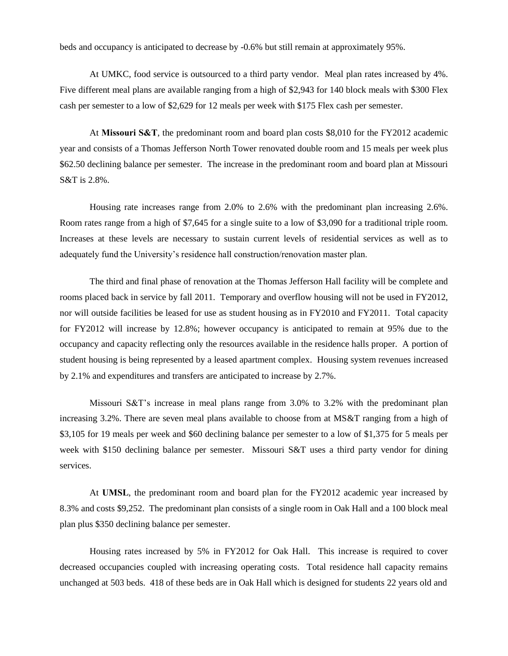beds and occupancy is anticipated to decrease by -0.6% but still remain at approximately 95%.

 At UMKC, food service is outsourced to a third party vendor. Meal plan rates increased by 4%. Five different meal plans are available ranging from a high of \$2,943 for 140 block meals with \$300 Flex cash per semester to a low of \$2,629 for 12 meals per week with \$175 Flex cash per semester.

 At **Missouri S&T**, the predominant room and board plan costs \$8,010 for the FY2012 academic year and consists of a Thomas Jefferson North Tower renovated double room and 15 meals per week plus \$62.50 declining balance per semester. The increase in the predominant room and board plan at Missouri S&T is 2.8%.

 Housing rate increases range from 2.0% to 2.6% with the predominant plan increasing 2.6%. Room rates range from a high of \$7,645 for a single suite to a low of \$3,090 for a traditional triple room. Increases at these levels are necessary to sustain current levels of residential services as well as to adequately fund the University's residence hall construction/renovation master plan.

 The third and final phase of renovation at the Thomas Jefferson Hall facility will be complete and rooms placed back in service by fall 2011. Temporary and overflow housing will not be used in FY2012, nor will outside facilities be leased for use as student housing as in FY2010 and FY2011. Total capacity for FY2012 will increase by 12.8%; however occupancy is anticipated to remain at 95% due to the occupancy and capacity reflecting only the resources available in the residence halls proper. A portion of student housing is being represented by a leased apartment complex. Housing system revenues increased by 2.1% and expenditures and transfers are anticipated to increase by 2.7%.

Missouri S&T's increase in meal plans range from 3.0% to 3.2% with the predominant plan increasing 3.2%. There are seven meal plans available to choose from at MS&T ranging from a high of \$3,105 for 19 meals per week and \$60 declining balance per semester to a low of \$1,375 for 5 meals per week with \$150 declining balance per semester. Missouri S&T uses a third party vendor for dining services.

 At **UMSL**, the predominant room and board plan for the FY2012 academic year increased by 8.3% and costs \$9,252. The predominant plan consists of a single room in Oak Hall and a 100 block meal plan plus \$350 declining balance per semester.

 Housing rates increased by 5% in FY2012 for Oak Hall. This increase is required to cover decreased occupancies coupled with increasing operating costs. Total residence hall capacity remains unchanged at 503 beds. 418 of these beds are in Oak Hall which is designed for students 22 years old and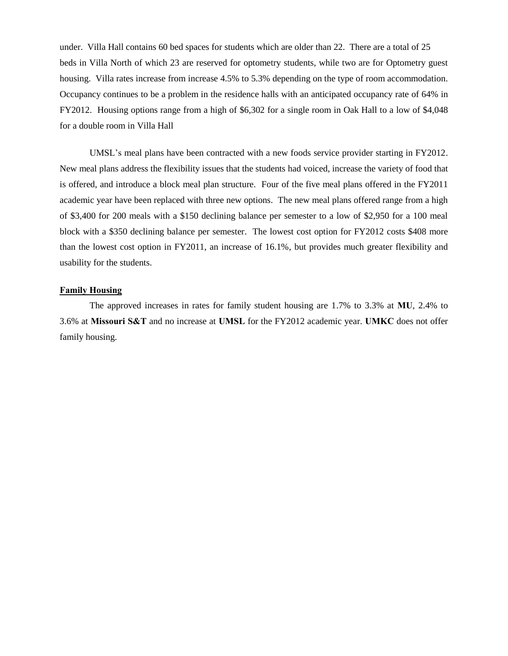under. Villa Hall contains 60 bed spaces for students which are older than 22. There are a total of 25 beds in Villa North of which 23 are reserved for optometry students, while two are for Optometry guest housing. Villa rates increase from increase 4.5% to 5.3% depending on the type of room accommodation. Occupancy continues to be a problem in the residence halls with an anticipated occupancy rate of 64% in FY2012. Housing options range from a high of \$6,302 for a single room in Oak Hall to a low of \$4,048 for a double room in Villa Hall

UMSL's meal plans have been contracted with a new foods service provider starting in FY2012. New meal plans address the flexibility issues that the students had voiced, increase the variety of food that is offered, and introduce a block meal plan structure. Four of the five meal plans offered in the FY2011 academic year have been replaced with three new options. The new meal plans offered range from a high of \$3,400 for 200 meals with a \$150 declining balance per semester to a low of \$2,950 for a 100 meal block with a \$350 declining balance per semester. The lowest cost option for FY2012 costs \$408 more than the lowest cost option in FY2011, an increase of 16.1%, but provides much greater flexibility and usability for the students.

#### **Family Housing**

The approved increases in rates for family student housing are 1.7% to 3.3% at **MU**, 2.4% to 3.6% at **Missouri S&T** and no increase at **UMSL** for the FY2012 academic year. **UMKC** does not offer family housing.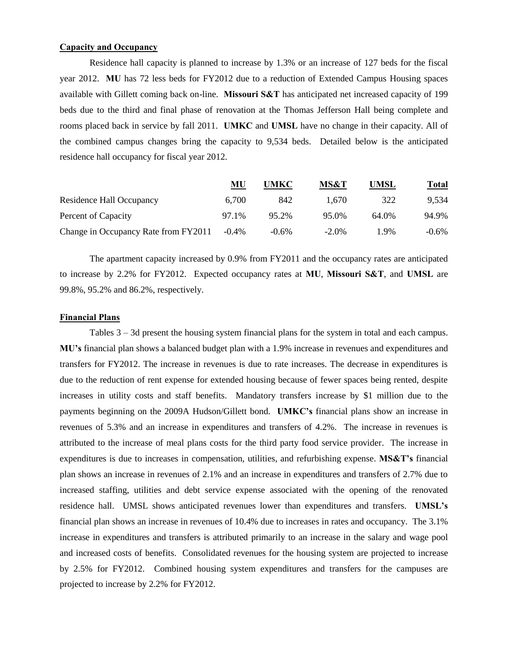## **Capacity and Occupancy**

 Residence hall capacity is planned to increase by 1.3% or an increase of 127 beds for the fiscal year 2012. **MU** has 72 less beds for FY2012 due to a reduction of Extended Campus Housing spaces available with Gillett coming back on-line. **Missouri S&T** has anticipated net increased capacity of 199 beds due to the third and final phase of renovation at the Thomas Jefferson Hall being complete and rooms placed back in service by fall 2011. **UMKC** and **UMSL** have no change in their capacity. All of the combined campus changes bring the capacity to 9,534 beds. Detailed below is the anticipated residence hall occupancy for fiscal year 2012.

|                                      | MU       | UMKC     | MS&T     | UMSL  | <u>Total</u> |
|--------------------------------------|----------|----------|----------|-------|--------------|
| Residence Hall Occupancy             | 6,700    | 842      | 1.670    | 322   | 9.534        |
| Percent of Capacity                  | 97.1%    | 95.2%    | 95.0%    | 64.0% | 94.9%        |
| Change in Occupancy Rate from FY2011 | $-0.4\%$ | $-0.6\%$ | $-2.0\%$ | 19%   | $-0.6\%$     |

 The apartment capacity increased by 0.9% from FY2011 and the occupancy rates are anticipated to increase by 2.2% for FY2012. Expected occupancy rates at **MU**, **Missouri S&T**, and **UMSL** are 99.8%, 95.2% and 86.2%, respectively.

#### **Financial Plans**

 Tables 3 – 3d present the housing system financial plans for the system in total and each campus. **MU's** financial plan shows a balanced budget plan with a 1.9% increase in revenues and expenditures and transfers for FY2012. The increase in revenues is due to rate increases. The decrease in expenditures is due to the reduction of rent expense for extended housing because of fewer spaces being rented, despite increases in utility costs and staff benefits. Mandatory transfers increase by \$1 million due to the payments beginning on the 2009A Hudson/Gillett bond. **UMKC's** financial plans show an increase in revenues of 5.3% and an increase in expenditures and transfers of 4.2%. The increase in revenues is attributed to the increase of meal plans costs for the third party food service provider. The increase in expenditures is due to increases in compensation, utilities, and refurbishing expense. **MS&T's** financial plan shows an increase in revenues of 2.1% and an increase in expenditures and transfers of 2.7% due to increased staffing, utilities and debt service expense associated with the opening of the renovated residence hall. UMSL shows anticipated revenues lower than expenditures and transfers. **UMSL's** financial plan shows an increase in revenues of 10.4% due to increases in rates and occupancy. The 3.1% increase in expenditures and transfers is attributed primarily to an increase in the salary and wage pool and increased costs of benefits. Consolidated revenues for the housing system are projected to increase by 2.5% for FY2012. Combined housing system expenditures and transfers for the campuses are projected to increase by 2.2% for FY2012.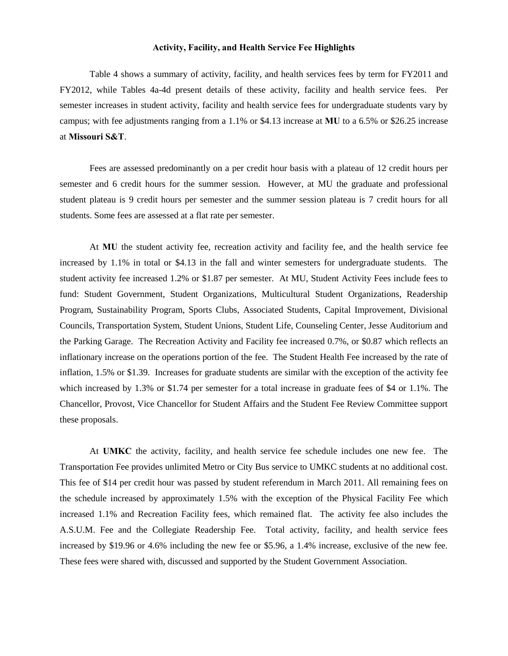#### **Activity, Facility, and Health Service Fee Highlights**

 Table 4 shows a summary of activity, facility, and health services fees by term for FY2011 and FY2012, while Tables 4a-4d present details of these activity, facility and health service fees. Per semester increases in student activity, facility and health service fees for undergraduate students vary by campus; with fee adjustments ranging from a 1.1% or \$4.13 increase at **MU** to a 6.5% or \$26.25 increase at **Missouri S&T**.

 Fees are assessed predominantly on a per credit hour basis with a plateau of 12 credit hours per semester and 6 credit hours for the summer session. However, at MU the graduate and professional student plateau is 9 credit hours per semester and the summer session plateau is 7 credit hours for all students. Some fees are assessed at a flat rate per semester.

At **MU** the student activity fee, recreation activity and facility fee, and the health service fee increased by 1.1% in total or \$4.13 in the fall and winter semesters for undergraduate students. The student activity fee increased 1.2% or \$1.87 per semester. At MU, Student Activity Fees include fees to fund: Student Government, Student Organizations, Multicultural Student Organizations, Readership Program, Sustainability Program, Sports Clubs, Associated Students, Capital Improvement, Divisional Councils, Transportation System, Student Unions, Student Life, Counseling Center, Jesse Auditorium and the Parking Garage. The Recreation Activity and Facility fee increased 0.7%, or \$0.87 which reflects an inflationary increase on the operations portion of the fee. The Student Health Fee increased by the rate of inflation, 1.5% or \$1.39. Increases for graduate students are similar with the exception of the activity fee which increased by 1.3% or \$1.74 per semester for a total increase in graduate fees of \$4 or 1.1%. The Chancellor, Provost, Vice Chancellor for Student Affairs and the Student Fee Review Committee support these proposals.

At **UMKC** the activity, facility, and health service fee schedule includes one new fee. The Transportation Fee provides unlimited Metro or City Bus service to UMKC students at no additional cost. This fee of \$14 per credit hour was passed by student referendum in March 2011. All remaining fees on the schedule increased by approximately 1.5% with the exception of the Physical Facility Fee which increased 1.1% and Recreation Facility fees, which remained flat. The activity fee also includes the A.S.U.M. Fee and the Collegiate Readership Fee. Total activity, facility, and health service fees increased by \$19.96 or 4.6% including the new fee or \$5.96, a 1.4% increase, exclusive of the new fee. These fees were shared with, discussed and supported by the Student Government Association.